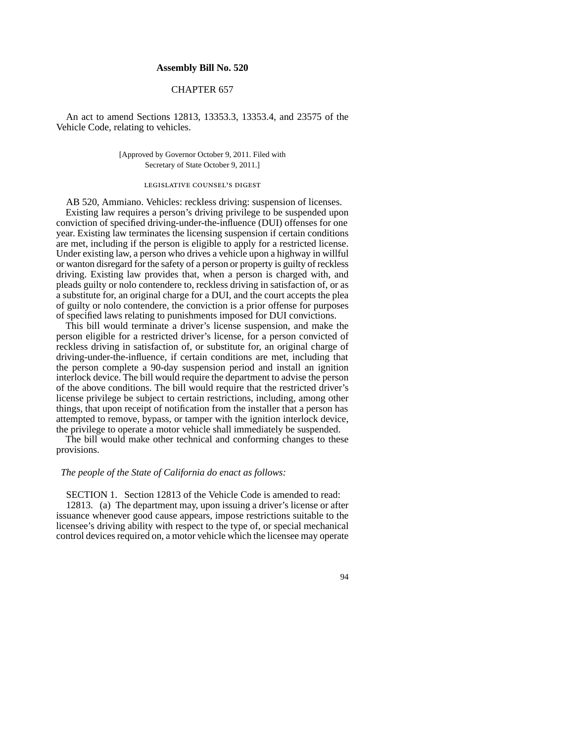## **Assembly Bill No. 520**

## CHAPTER 657

An act to amend Sections 12813, 13353.3, 13353.4, and 23575 of the Vehicle Code, relating to vehicles.

> [Approved by Governor October 9, 2011. Filed with Secretary of State October 9, 2011.]

## legislative counsel's digest

AB 520, Ammiano. Vehicles: reckless driving: suspension of licenses. Existing law requires a person's driving privilege to be suspended upon conviction of specified driving-under-the-influence (DUI) offenses for one year. Existing law terminates the licensing suspension if certain conditions are met, including if the person is eligible to apply for a restricted license. Under existing law, a person who drives a vehicle upon a highway in willful or wanton disregard for the safety of a person or property is guilty of reckless driving. Existing law provides that, when a person is charged with, and pleads guilty or nolo contendere to, reckless driving in satisfaction of, or as a substitute for, an original charge for a DUI, and the court accepts the plea of guilty or nolo contendere, the conviction is a prior offense for purposes of specified laws relating to punishments imposed for DUI convictions.

This bill would terminate a driver's license suspension, and make the person eligible for a restricted driver's license, for a person convicted of reckless driving in satisfaction of, or substitute for, an original charge of driving-under-the-influence, if certain conditions are met, including that the person complete a 90-day suspension period and install an ignition interlock device. The bill would require the department to advise the person of the above conditions. The bill would require that the restricted driver's license privilege be subject to certain restrictions, including, among other things, that upon receipt of notification from the installer that a person has attempted to remove, bypass, or tamper with the ignition interlock device, the privilege to operate a motor vehicle shall immediately be suspended.

The bill would make other technical and conforming changes to these provisions.

## *The people of the State of California do enact as follows:*

SECTION 1. Section 12813 of the Vehicle Code is amended to read: 12813. (a) The department may, upon issuing a driver's license or after issuance whenever good cause appears, impose restrictions suitable to the licensee's driving ability with respect to the type of, or special mechanical control devices required on, a motor vehicle which the licensee may operate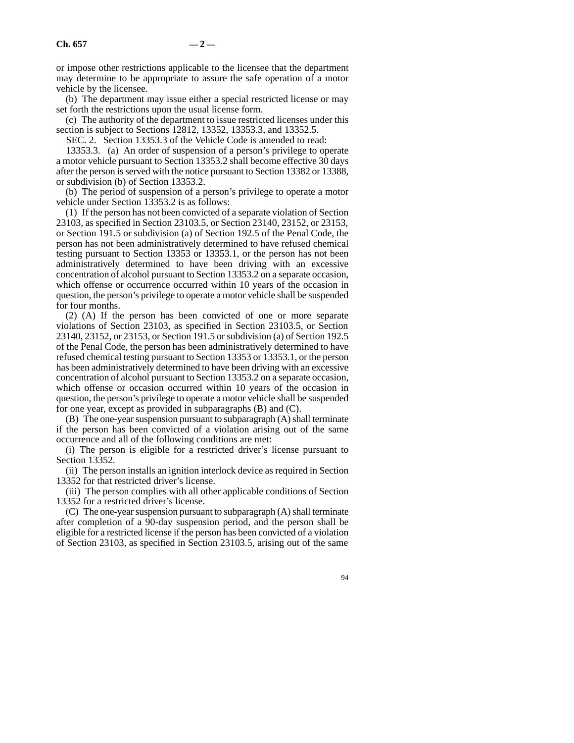or impose other restrictions applicable to the licensee that the department may determine to be appropriate to assure the safe operation of a motor vehicle by the licensee.

(b) The department may issue either a special restricted license or may set forth the restrictions upon the usual license form.

(c) The authority of the department to issue restricted licenses under this section is subject to Sections 12812, 13352, 13353.3, and 13352.5.

SEC. 2. Section 13353.3 of the Vehicle Code is amended to read:

13353.3. (a) An order of suspension of a person's privilege to operate a motor vehicle pursuant to Section 13353.2 shall become effective 30 days after the person is served with the notice pursuant to Section 13382 or 13388, or subdivision (b) of Section 13353.2.

(b) The period of suspension of a person's privilege to operate a motor vehicle under Section 13353.2 is as follows:

(1) If the person has not been convicted of a separate violation of Section 23103, as specified in Section 23103.5, or Section 23140, 23152, or 23153, or Section 191.5 or subdivision (a) of Section 192.5 of the Penal Code, the person has not been administratively determined to have refused chemical testing pursuant to Section 13353 or 13353.1, or the person has not been administratively determined to have been driving with an excessive concentration of alcohol pursuant to Section 13353.2 on a separate occasion, which offense or occurrence occurred within 10 years of the occasion in question, the person's privilege to operate a motor vehicle shall be suspended for four months.

(2) (A) If the person has been convicted of one or more separate violations of Section 23103, as specified in Section 23103.5, or Section 23140, 23152, or 23153, or Section 191.5 or subdivision (a) of Section 192.5 of the Penal Code, the person has been administratively determined to have refused chemical testing pursuant to Section 13353 or 13353.1, or the person has been administratively determined to have been driving with an excessive concentration of alcohol pursuant to Section 13353.2 on a separate occasion, which offense or occasion occurred within 10 years of the occasion in question, the person's privilege to operate a motor vehicle shall be suspended for one year, except as provided in subparagraphs (B) and (C).

(B) The one-year suspension pursuant to subparagraph (A) shall terminate if the person has been convicted of a violation arising out of the same occurrence and all of the following conditions are met:

(i) The person is eligible for a restricted driver's license pursuant to Section 13352.

(ii) The person installs an ignition interlock device as required in Section 13352 for that restricted driver's license.

(iii) The person complies with all other applicable conditions of Section 13352 for a restricted driver's license.

(C) The one-year suspension pursuant to subparagraph (A) shall terminate after completion of a 90-day suspension period, and the person shall be eligible for a restricted license if the person has been convicted of a violation of Section 23103, as specified in Section 23103.5, arising out of the same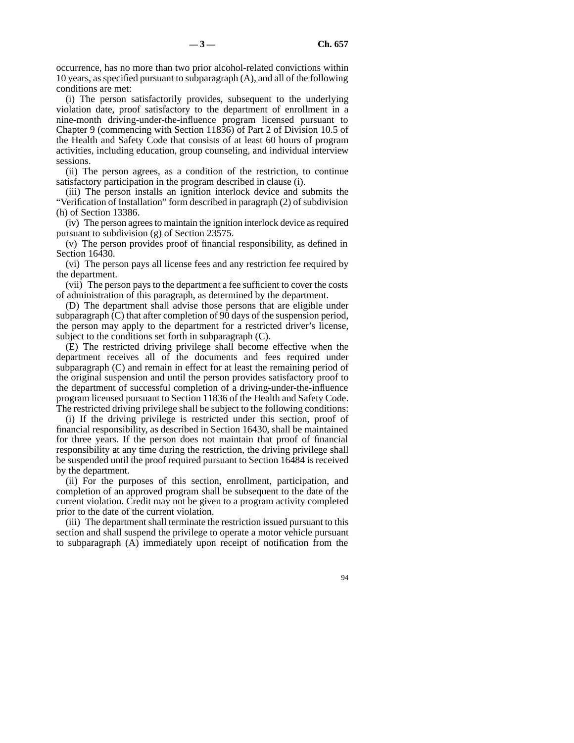occurrence, has no more than two prior alcohol-related convictions within 10 years, as specified pursuant to subparagraph (A), and all of the following conditions are met:

(i) The person satisfactorily provides, subsequent to the underlying violation date, proof satisfactory to the department of enrollment in a nine-month driving-under-the-influence program licensed pursuant to Chapter 9 (commencing with Section 11836) of Part 2 of Division 10.5 of the Health and Safety Code that consists of at least 60 hours of program activities, including education, group counseling, and individual interview sessions.

(ii) The person agrees, as a condition of the restriction, to continue satisfactory participation in the program described in clause (i).

(iii) The person installs an ignition interlock device and submits the "Verification of Installation" form described in paragraph (2) of subdivision (h) of Section 13386.

(iv) The person agrees to maintain the ignition interlock device as required pursuant to subdivision (g) of Section 23575.

(v) The person provides proof of financial responsibility, as defined in Section 16430.

(vi) The person pays all license fees and any restriction fee required by the department.

(vii) The person pays to the department a fee sufficient to cover the costs of administration of this paragraph, as determined by the department.

(D) The department shall advise those persons that are eligible under subparagraph  $(C)$  that after completion of 90 days of the suspension period, the person may apply to the department for a restricted driver's license, subject to the conditions set forth in subparagraph (C).

(E) The restricted driving privilege shall become effective when the department receives all of the documents and fees required under subparagraph (C) and remain in effect for at least the remaining period of the original suspension and until the person provides satisfactory proof to the department of successful completion of a driving-under-the-influence program licensed pursuant to Section 11836 of the Health and Safety Code. The restricted driving privilege shall be subject to the following conditions:

(i) If the driving privilege is restricted under this section, proof of financial responsibility, as described in Section 16430, shall be maintained for three years. If the person does not maintain that proof of financial responsibility at any time during the restriction, the driving privilege shall be suspended until the proof required pursuant to Section 16484 is received by the department.

(ii) For the purposes of this section, enrollment, participation, and completion of an approved program shall be subsequent to the date of the current violation. Credit may not be given to a program activity completed prior to the date of the current violation.

(iii) The department shall terminate the restriction issued pursuant to this section and shall suspend the privilege to operate a motor vehicle pursuant to subparagraph (A) immediately upon receipt of notification from the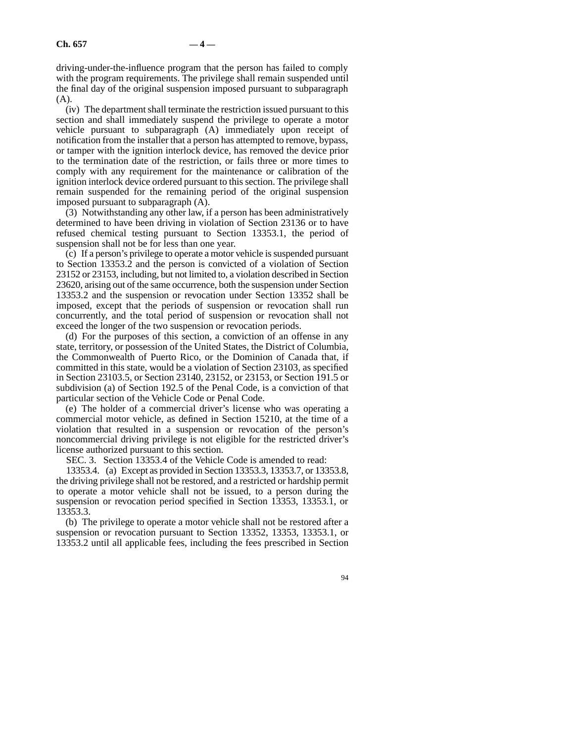driving-under-the-influence program that the person has failed to comply with the program requirements. The privilege shall remain suspended until the final day of the original suspension imposed pursuant to subparagraph (A).

(iv) The department shall terminate the restriction issued pursuant to this section and shall immediately suspend the privilege to operate a motor vehicle pursuant to subparagraph (A) immediately upon receipt of notification from the installer that a person has attempted to remove, bypass, or tamper with the ignition interlock device, has removed the device prior to the termination date of the restriction, or fails three or more times to comply with any requirement for the maintenance or calibration of the ignition interlock device ordered pursuant to this section. The privilege shall remain suspended for the remaining period of the original suspension imposed pursuant to subparagraph (A).

(3) Notwithstanding any other law, if a person has been administratively determined to have been driving in violation of Section 23136 or to have refused chemical testing pursuant to Section 13353.1, the period of suspension shall not be for less than one year.

(c) If a person's privilege to operate a motor vehicle is suspended pursuant to Section 13353.2 and the person is convicted of a violation of Section 23152 or 23153, including, but not limited to, a violation described in Section 23620, arising out of the same occurrence, both the suspension under Section 13353.2 and the suspension or revocation under Section 13352 shall be imposed, except that the periods of suspension or revocation shall run concurrently, and the total period of suspension or revocation shall not exceed the longer of the two suspension or revocation periods.

(d) For the purposes of this section, a conviction of an offense in any state, territory, or possession of the United States, the District of Columbia, the Commonwealth of Puerto Rico, or the Dominion of Canada that, if committed in this state, would be a violation of Section 23103, as specified in Section 23103.5, or Section 23140, 23152, or 23153, or Section 191.5 or subdivision (a) of Section 192.5 of the Penal Code, is a conviction of that particular section of the Vehicle Code or Penal Code.

(e) The holder of a commercial driver's license who was operating a commercial motor vehicle, as defined in Section 15210, at the time of a violation that resulted in a suspension or revocation of the person's noncommercial driving privilege is not eligible for the restricted driver's license authorized pursuant to this section.

SEC. 3. Section 13353.4 of the Vehicle Code is amended to read:

13353.4. (a) Except as provided in Section 13353.3, 13353.7, or 13353.8, the driving privilege shall not be restored, and a restricted or hardship permit to operate a motor vehicle shall not be issued, to a person during the suspension or revocation period specified in Section 13353, 13353.1, or 13353.3.

(b) The privilege to operate a motor vehicle shall not be restored after a suspension or revocation pursuant to Section 13352, 13353, 13353.1, or 13353.2 until all applicable fees, including the fees prescribed in Section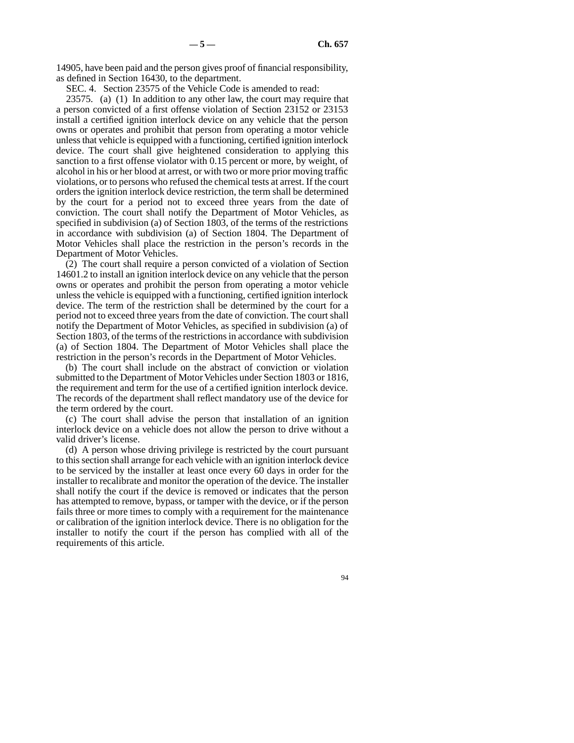14905, have been paid and the person gives proof of financial responsibility, as defined in Section 16430, to the department.

SEC. 4. Section 23575 of the Vehicle Code is amended to read:

23575. (a) (1) In addition to any other law, the court may require that a person convicted of a first offense violation of Section 23152 or 23153 install a certified ignition interlock device on any vehicle that the person owns or operates and prohibit that person from operating a motor vehicle unless that vehicle is equipped with a functioning, certified ignition interlock device. The court shall give heightened consideration to applying this sanction to a first offense violator with 0.15 percent or more, by weight, of alcohol in his or her blood at arrest, or with two or more prior moving traffic violations, or to persons who refused the chemical tests at arrest. If the court orders the ignition interlock device restriction, the term shall be determined by the court for a period not to exceed three years from the date of conviction. The court shall notify the Department of Motor Vehicles, as specified in subdivision (a) of Section 1803, of the terms of the restrictions in accordance with subdivision (a) of Section 1804. The Department of Motor Vehicles shall place the restriction in the person's records in the Department of Motor Vehicles.

(2) The court shall require a person convicted of a violation of Section 14601.2 to install an ignition interlock device on any vehicle that the person owns or operates and prohibit the person from operating a motor vehicle unless the vehicle is equipped with a functioning, certified ignition interlock device. The term of the restriction shall be determined by the court for a period not to exceed three years from the date of conviction. The court shall notify the Department of Motor Vehicles, as specified in subdivision (a) of Section 1803, of the terms of the restrictions in accordance with subdivision (a) of Section 1804. The Department of Motor Vehicles shall place the restriction in the person's records in the Department of Motor Vehicles.

(b) The court shall include on the abstract of conviction or violation submitted to the Department of Motor Vehicles under Section 1803 or 1816, the requirement and term for the use of a certified ignition interlock device. The records of the department shall reflect mandatory use of the device for the term ordered by the court.

(c) The court shall advise the person that installation of an ignition interlock device on a vehicle does not allow the person to drive without a valid driver's license.

(d) A person whose driving privilege is restricted by the court pursuant to this section shall arrange for each vehicle with an ignition interlock device to be serviced by the installer at least once every 60 days in order for the installer to recalibrate and monitor the operation of the device. The installer shall notify the court if the device is removed or indicates that the person has attempted to remove, bypass, or tamper with the device, or if the person fails three or more times to comply with a requirement for the maintenance or calibration of the ignition interlock device. There is no obligation for the installer to notify the court if the person has complied with all of the requirements of this article.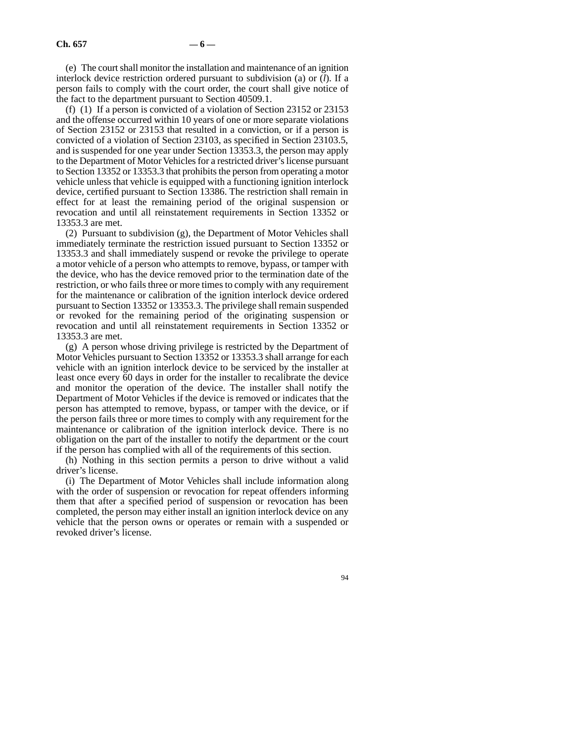(e) The court shall monitor the installation and maintenance of an ignition interlock device restriction ordered pursuant to subdivision (a) or (*l*). If a person fails to comply with the court order, the court shall give notice of the fact to the department pursuant to Section 40509.1.

(f) (1) If a person is convicted of a violation of Section 23152 or 23153 and the offense occurred within 10 years of one or more separate violations of Section 23152 or 23153 that resulted in a conviction, or if a person is convicted of a violation of Section 23103, as specified in Section 23103.5, and is suspended for one year under Section 13353.3, the person may apply to the Department of Motor Vehicles for a restricted driver's license pursuant to Section 13352 or 13353.3 that prohibits the person from operating a motor vehicle unless that vehicle is equipped with a functioning ignition interlock device, certified pursuant to Section 13386. The restriction shall remain in effect for at least the remaining period of the original suspension or revocation and until all reinstatement requirements in Section 13352 or 13353.3 are met.

(2) Pursuant to subdivision (g), the Department of Motor Vehicles shall immediately terminate the restriction issued pursuant to Section 13352 or 13353.3 and shall immediately suspend or revoke the privilege to operate a motor vehicle of a person who attempts to remove, bypass, or tamper with the device, who has the device removed prior to the termination date of the restriction, or who fails three or more times to comply with any requirement for the maintenance or calibration of the ignition interlock device ordered pursuant to Section 13352 or 13353.3. The privilege shall remain suspended or revoked for the remaining period of the originating suspension or revocation and until all reinstatement requirements in Section 13352 or 13353.3 are met.

(g) A person whose driving privilege is restricted by the Department of Motor Vehicles pursuant to Section 13352 or 13353.3 shall arrange for each vehicle with an ignition interlock device to be serviced by the installer at least once every 60 days in order for the installer to recalibrate the device and monitor the operation of the device. The installer shall notify the Department of Motor Vehicles if the device is removed or indicates that the person has attempted to remove, bypass, or tamper with the device, or if the person fails three or more times to comply with any requirement for the maintenance or calibration of the ignition interlock device. There is no obligation on the part of the installer to notify the department or the court if the person has complied with all of the requirements of this section.

(h) Nothing in this section permits a person to drive without a valid driver's license.

(i) The Department of Motor Vehicles shall include information along with the order of suspension or revocation for repeat offenders informing them that after a specified period of suspension or revocation has been completed, the person may either install an ignition interlock device on any vehicle that the person owns or operates or remain with a suspended or revoked driver's license.